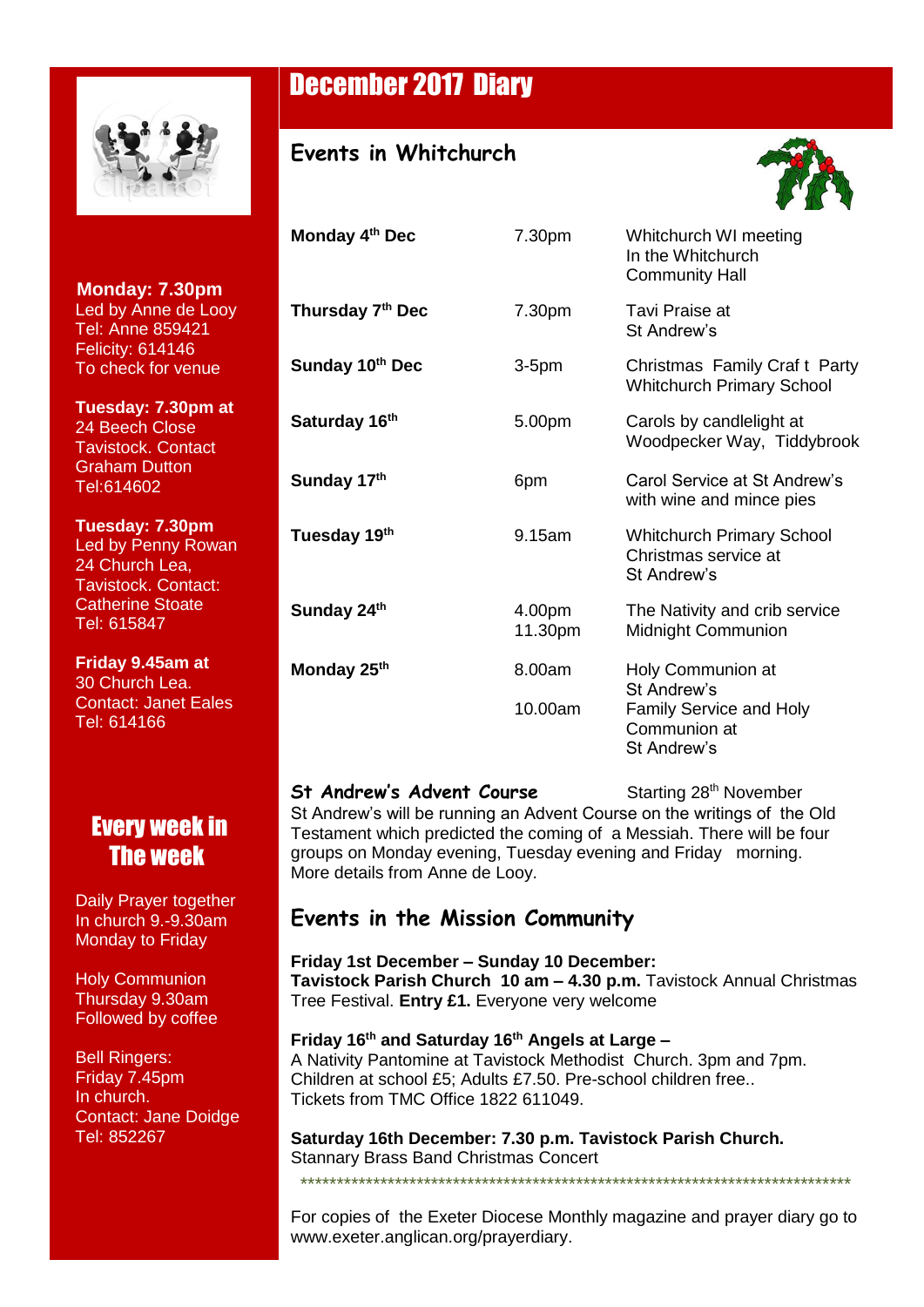

í

*Seeking to*   **Monday: 7.30pm** *be* Led by Anne de Looy *Church for* Tel: Anne 859421 **Felicity: 614146 Parish** To check for venue

 **Tuesday: 7.30pm at** 24 Beech Close Tavistock. Contact Graham Dutton Tel:614602

**Frame:** 615847  **Tuesday: 7.30pm** Led by Penny Rowan 24 Church Lea, Tavistock. Contact: Catherine Stoate

**Registers Friday 9.45am at Marriages** Tel: 614166 30 Church Lea. Contact: Janet Eales

### **Every week in Deaths** The week

**Daily Prayer together Augusta Norah** In church 9.-9.30am **Monday to Friday** 

 Holy Communion Thursday 9.30am Followed by coffee

 Bell Ringers: Friday 7.45pm In church. Contact: Jane Doidge Tel: 852267

## December 2017 Diary

#### **Events in Whitchurch**



| Monday 4th Dec            | 7.30pm            | Whitchurch WI meeting<br>In the Whitchurch<br><b>Community Hall</b>          |
|---------------------------|-------------------|------------------------------------------------------------------------------|
| Thursday 7th Dec          | 7.30pm            | Tavi Praise at<br>St Andrew's                                                |
| Sunday 10th Dec           | $3-5pm$           | Christmas Family Craft Party<br><b>Whitchurch Primary School</b>             |
| Saturday 16 <sup>th</sup> | 5.00pm            | Carols by candlelight at<br>Woodpecker Way, Tiddybrook                       |
| Sunday 17th               | 6pm               | Carol Service at St Andrew's<br>with wine and mince pies                     |
| Tuesday 19th              | 9.15am            | <b>Whitchurch Primary School</b><br>Christmas service at<br>St Andrew's      |
| Sunday 24th               | 4.00pm<br>11.30pm | The Nativity and crib service<br>Midnight Communion                          |
| Monday 25 <sup>th</sup>   | 8.00am            | Holy Communion at                                                            |
|                           | 10.00am           | St Andrew's<br><b>Family Service and Holy</b><br>Communion at<br>St Andrew's |

#### **St Andrew's Advent Course Starting 28th November**

St Andrew's will be running an Advent Course on the writings of the Old Testament which predicted the coming of a Messiah. There will be four groups on Monday evening, Tuesday evening and Friday morning. More details from Anne de Looy.

#### **Events in the Mission Community**

**Friday 1st December – Sunday 10 December: Tavistock Parish Church 10 am – 4.30 p.m.** Tavistock Annual Christmas Tree Festival. **Entry £1.** Everyone very welcome

**Friday 16th and Saturday 16th Angels at Large –** A Nativity Pantomine at Tavistock Methodist Church. 3pm and 7pm. Children at school £5; Adults £7.50. Pre-school children free.. Tickets from TMC Office 1822 611049.

**Saturday 16th December: 7.30 p.m. Tavistock Parish Church.** Stannary Brass Band Christmas Concert

For copies of the Exeter Diocese Monthly magazine and prayer diary go to www.exeter.anglican.org/prayerdiary.

\*\*\*\*\*\*\*\*\*\*\*\*\*\*\*\*\*\*\*\*\*\*\*\*\*\*\*\*\*\*\*\*\*\*\*\*\*\*\*\*\*\*\*\*\*\*\*\*\*\*\*\*\*\*\*\*\*\*\*\*\*\*\*\*\*\*\*\*\*\*\*\*\*\*\*\*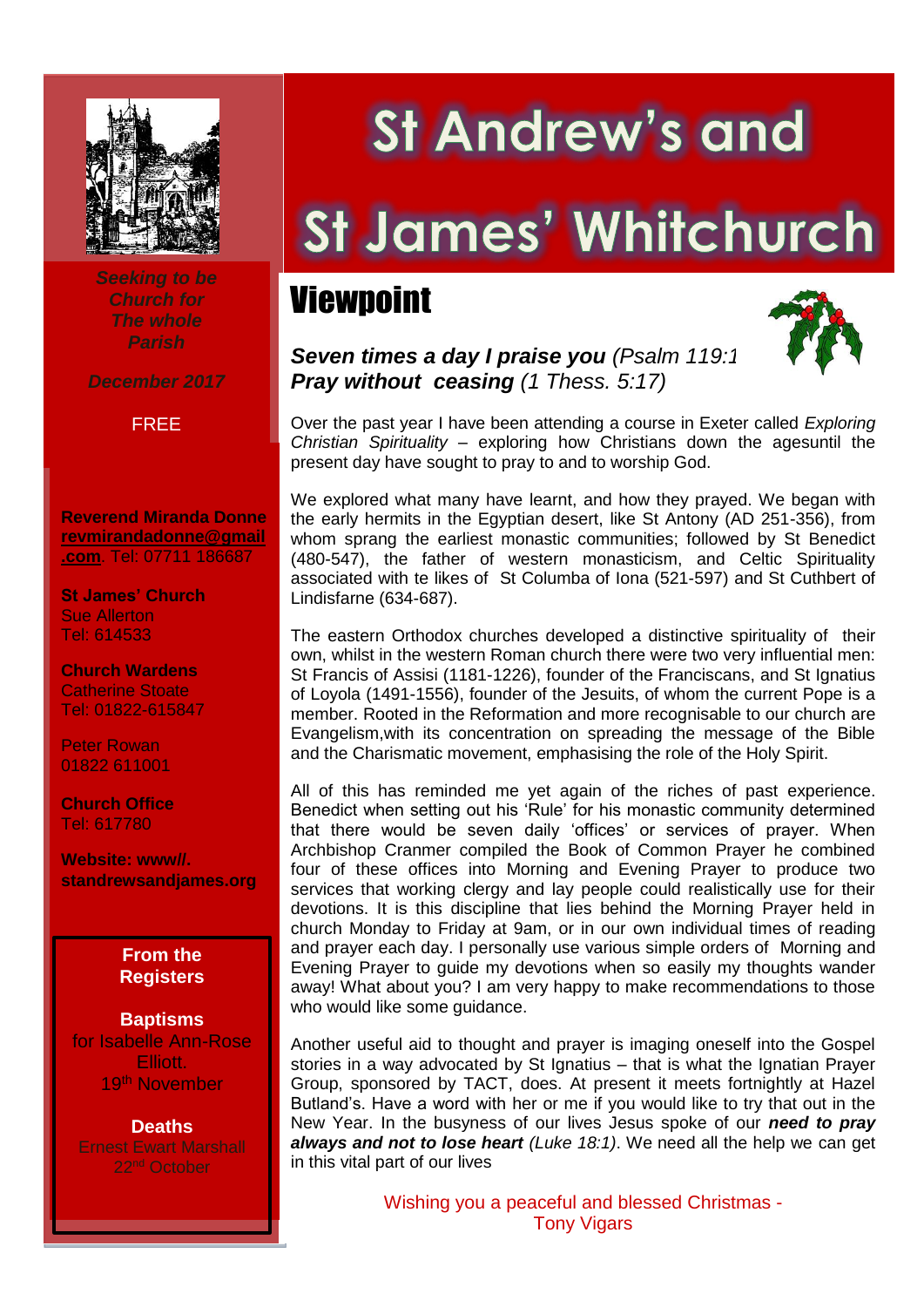

*Seeking to be Church for The whole Parish*

*December 2017*

#### FREE

**Reverend Miranda Donne [revmirandadonne@gmail](mailto:revmirandadonne@gmail.com) [.com](mailto:revmirandadonne@gmail.com)**. Tel: 07711 186687

**St James' Church** Sue Allerton Tel: 614533

 Catherine Stoate **Church Wardens** Tel: 01822-615847

Peter Rowan 01822 611001

**Church Office** Tel: 617780

**Website: www//. standrewsandjames.org**



**Baptisms** for Isabelle Ann-Rose Elliott. 19th November

**Deaths** Ernest Ewart Marshall 22nd October

.

# **St Andrew's and**

# St James' Whitchurch

## Viewpoint



*Seven times a day I praise you (Psalm 119:16) Pray without ceasing (1 Thess. 5:17)*

Over the past year I have been attending a course in Exeter called *Exploring Christian Spirituality* – exploring how Christians down the agesuntil the present day have sought to pray to and to worship God.

We explored what many have learnt, and how they prayed. We began with the early hermits in the Egyptian desert, like St Antony (AD 251-356), from whom sprang the earliest monastic communities; followed by St Benedict (480-547), the father of western monasticism, and Celtic Spirituality associated with te likes of St Columba of Iona (521-597) and St Cuthbert of Lindisfarne (634-687).

The eastern Orthodox churches developed a distinctive spirituality of their own, whilst in the western Roman church there were two very influential men: St Francis of Assisi (1181-1226), founder of the Franciscans, and St Ignatius of Loyola (1491-1556), founder of the Jesuits, of whom the current Pope is a member. Rooted in the Reformation and more recognisable to our church are Evangelism,with its concentration on spreading the message of the Bible and the Charismatic movement, emphasising the role of the Holy Spirit.

All of this has reminded me yet again of the riches of past experience. Benedict when setting out his 'Rule' for his monastic community determined that there would be seven daily 'offices' or services of prayer. When Archbishop Cranmer compiled the Book of Common Prayer he combined four of these offices into Morning and Evening Prayer to produce two services that working clergy and lay people could realistically use for their devotions. It is this discipline that lies behind the Morning Prayer held in church Monday to Friday at 9am, or in our own individual times of reading and prayer each day. I personally use various simple orders of Morning and Evening Prayer to guide my devotions when so easily my thoughts wander away! What about you? I am very happy to make recommendations to those who would like some guidance.

Another useful aid to thought and prayer is imaging oneself into the Gospel stories in a way advocated by St Ignatius – that is what the Ignatian Prayer Group, sponsored by TACT, does. At present it meets fortnightly at Hazel Butland's. Have a word with her or me if you would like to try that out in the New Year. In the busyness of our lives Jesus spoke of our *need to pray always and not to lose heart (Luke 18:1)*. We need all the help we can get in this vital part of our lives

> Wishing you a peaceful and blessed Christmas - Tony Vigars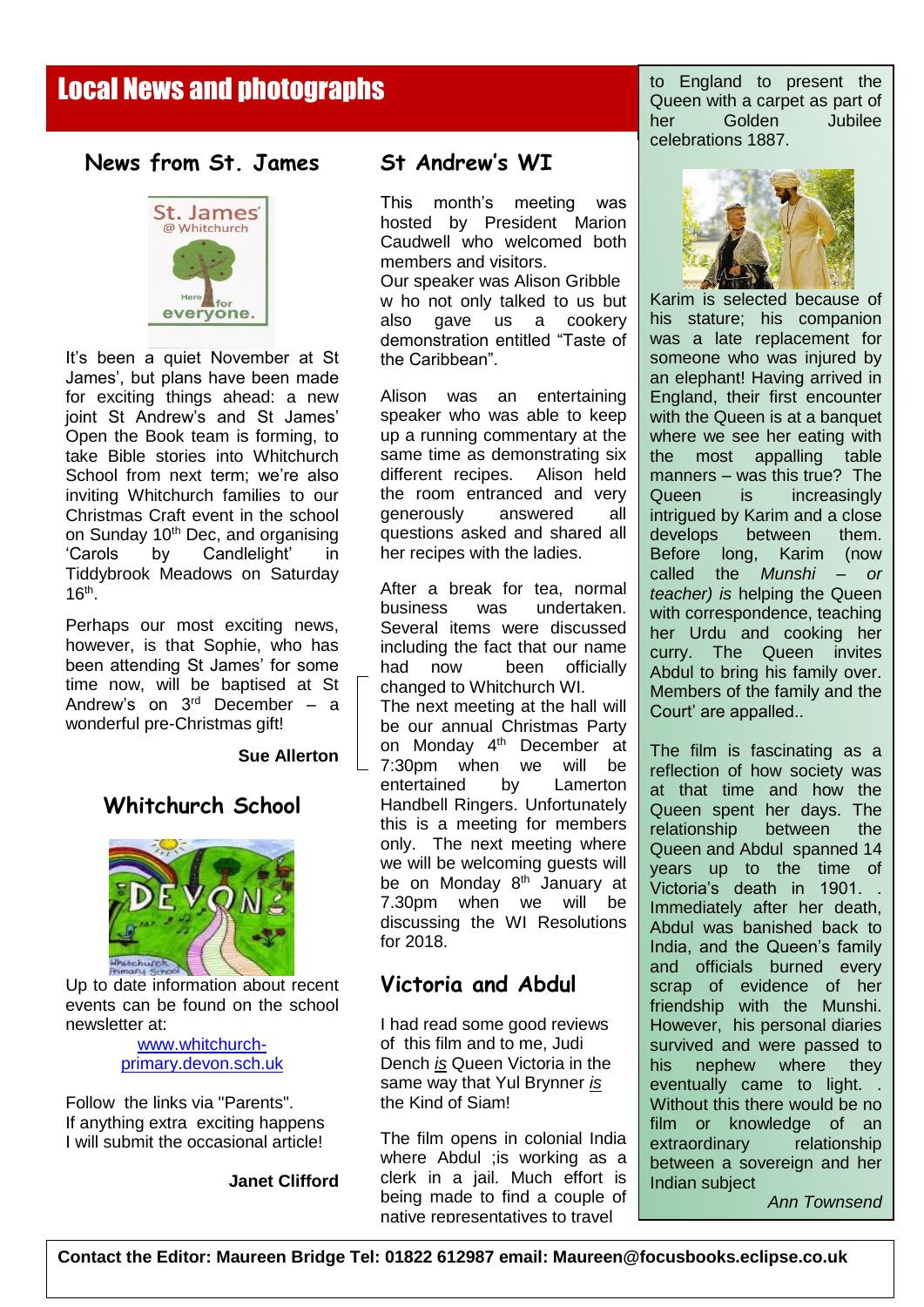### Local News and photographs

#### **News from St. James**



It's been a quiet November at St James', but plans have been made for exciting things ahead: a new joint St Andrew's and St James' Open the Book team is forming, to take Bible stories into Whitchurch School from next term; we're also inviting Whitchurch families to our Christmas Craft event in the school on Sunday 10<sup>th</sup> Dec, and organising 'Carols by Candlelight' in Tiddybrook Meadows on Saturday  $16<sup>th</sup>$ .

Perhaps our most exciting news, however, is that Sophie, who has been attending St James' for some time now, will be baptised at St Andrew's on  $3<sup>rd</sup>$  December – a wonderful pre-Christmas gift!

#### **Sue Allerton**

 $\overline{\phantom{a}}$ 

#### **Whitchurch School**



Up to date information about recent events can be found on the school newsletter at:

#### [www.whitchurch](http://www.whitchurch-primary.devon.sch.uk/)[primary.devon.sch.uk](http://www.whitchurch-primary.devon.sch.uk/)

Follow the links via "Parents". If anything extra exciting happens I will submit the occasional article!

**Janet Clifford**

#### **St Andrew's WI**

This month's meeting was hosted by President Marion Caudwell who welcomed both members and visitors.

Our speaker was Alison Gribble w ho not only talked to us but also gave us a cookery demonstration entitled "Taste of the Caribbean".

Alison was an entertaining speaker who was able to keep up a running commentary at the same time as demonstrating six different recipes. Alison held the room entranced and very generously answered all questions asked and shared all her recipes with the ladies.

After a break for tea, normal business was undertaken. Several items were discussed including the fact that our name had now been officially changed to Whitchurch WI.

The next meeting at the hall will be our annual Christmas Party on Monday 4<sup>th</sup> December at 7:30pm when we will be entertained by Lamerton Handbell Ringers. Unfortunately this is a meeting for members only. The next meeting where we will be welcoming guests will be on Monday 8<sup>th</sup> January at 7.30pm when we will be discussing the WI Resolutions for 2018.

#### **Victoria and Abdul**

I had read some good reviews of this film and to me, Judi Dench *is* Queen Victoria in the same way that Yul Brynner *is* the Kind of Siam!

The film opens in colonial India where Abdul ;is working as a clerk in a jail. Much effort is being made to find a couple of native representatives to travel

to England to present the Queen with a carpet as part of her Golden Jubilee celebrations 1887.



Karim is selected because of his stature; his companion was a late replacement for someone who was injured by an elephant! Having arrived in England, their first encounter with the Queen is at a banquet where we see her eating with the most appalling table manners – was this true? The Queen is increasingly intrigued by Karim and a close develops between them. Before long, Karim (now called the *Munshi – or teacher) is* helping the Queen with correspondence, teaching her Urdu and cooking her curry. The Queen invites Abdul to bring his family over. Members of the family and the Court' are appalled..

The film is fascinating as a reflection of how society was at that time and how the Queen spent her days. The relationship between the Queen and Abdul spanned 14 years up to the time of Victoria's death in 1901. . Immediately after her death, Abdul was banished back to India, and the Queen's family and officials burned every scrap of evidence of her friendship with the Munshi. However, his personal diaries survived and were passed to his nephew where they eventually came to light. . Without this there would be no film or knowledge of an extraordinary relationship between a sovereign and her Indian subject

*Ann Townsend*

**Contact the Editor: Maureen Bridge Tel: 01822 612987 email: Maureen@focusbooks.eclipse.co.uk**